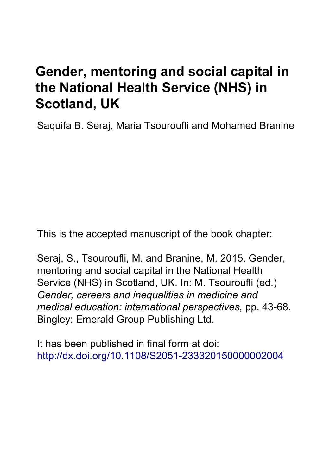# **Gender, mentoring and social capital in the National Health Service (NHS) in Scotland, UK**

Saquifa B. Seraj, Maria Tsouroufli and Mohamed Branine

This is the accepted manuscript of the book chapter:

Seraj, S., Tsouroufli, M. and Branine, M. 2015. Gender, mentoring and social capital in the National Health Service (NHS) in Scotland, UK. In: M. Tsouroufli (ed.) *Gender, careers and inequalities in medicine and medical education: international perspectives,* pp. 43-68. Bingley: Emerald Group Publishing Ltd.

It has been published in final form at doi: <http://dx.doi.org/10.1108/S2051-233320150000002004>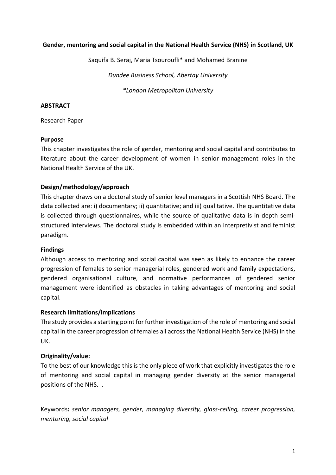## **Gender, mentoring and social capital in the National Health Service (NHS) in Scotland, UK**

Saquifa B. Seraj, Maria Tsouroufli\* and Mohamed Branine

*Dundee Business School, Abertay University*

*\*London Metropolitan University*

## **ABSTRACT**

Research Paper

## **Purpose**

This chapter investigates the role of gender, mentoring and social capital and contributes to literature about the career development of women in senior management roles in the National Health Service of the UK.

# **Design/methodology/approach**

This chapter draws on a doctoral study of senior level managers in a Scottish NHS Board. The data collected are: i) documentary; ii) quantitative; and iii) qualitative. The quantitative data is collected through questionnaires, while the source of qualitative data is in-depth semistructured interviews. The doctoral study is embedded within an interpretivist and feminist paradigm.

# **Findings**

Although access to mentoring and social capital was seen as likely to enhance the career progression of females to senior managerial roles, gendered work and family expectations, gendered organisational culture, and normative performances of gendered senior management were identified as obstacles in taking advantages of mentoring and social capital.

# **Research limitations/implications**

The study provides a starting point for further investigation of the role of mentoring and social capital in the career progression of females all across the National Health Service (NHS) in the UK.

# **Originality/value:**

To the best of our knowledge this is the only piece of work that explicitly investigates the role of mentoring and social capital in managing gender diversity at the senior managerial positions of the NHS. .

Keywords**:** *senior managers, gender, managing diversity, glass-ceiling, career progression, mentoring, social capital*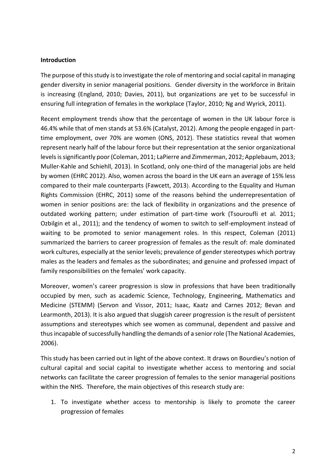## **Introduction**

The purpose of this study is to investigate the role of mentoring and social capital in managing gender diversity in senior managerial positions. Gender diversity in the workforce in Britain is increasing (England, 2010; Davies, 2011), but organizations are yet to be successful in ensuring full integration of females in the workplace (Taylor, 2010; Ng and Wyrick, 2011).

Recent employment trends show that the percentage of women in the UK labour force is 46.4% while that of men stands at 53.6% (Catalyst, 2012). Among the people engaged in parttime employment, over 70% are women (ONS, 2012). These statistics reveal that women represent nearly half of the labour force but their representation at the senior organizational levels is significantly poor (Coleman, 2011; LaPierre and Zimmerman, 2012; Applebaum, 2013; Muller-Kahle and Schiehll, 2013). In Scotland, only one-third of the managerial jobs are held by women (EHRC 2012). Also, women across the board in the UK earn an average of 15% less compared to their male counterparts (Fawcett, 2013). According to the Equality and Human Rights Commission (EHRC, 2011) some of the reasons behind the underrepresentation of women in senior positions are: the lack of flexibility in organizations and the presence of outdated working pattern; under estimation of part-time work (Tsouroufli et al. 2011; Ozbilgin et al., 2011); and the tendency of women to switch to self-employment instead of waiting to be promoted to senior management roles. In this respect, Coleman (2011) summarized the barriers to career progression of females as the result of: male dominated work cultures, especially at the senior levels; prevalence of gender stereotypes which portray males as the leaders and females as the subordinates; and genuine and professed impact of family responsibilities on the females' work capacity.

Moreover, women's career progression is slow in professions that have been traditionally occupied by men, such as academic Science, Technology, Engineering, Mathematics and Medicine (STEMM) (Servon and Vissor, 2011; Isaac, Kaatz and Carnes 2012; Bevan and Learmonth, 2013). It is also argued that sluggish career progression is the result of persistent assumptions and stereotypes which see women as communal, dependent and passive and thus incapable of successfully handling the demands of a senior role (The National Academies, 2006).

This study has been carried out in light of the above context. It draws on Bourdieu's notion of cultural capital and social capital to investigate whether access to mentoring and social networks can facilitate the career progression of females to the senior managerial positions within the NHS. Therefore, the main objectives of this research study are:

1. To investigate whether access to mentorship is likely to promote the career progression of females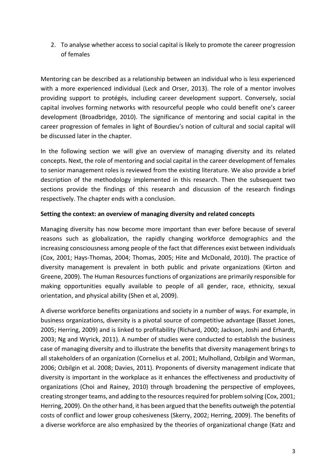2. To analyse whether access to social capital is likely to promote the career progression of females

Mentoring can be described as a relationship between an individual who is less experienced with a more experienced individual (Leck and Orser, 2013). The role of a mentor involves providing support to protégés, including career development support. Conversely, social capital involves forming networks with resourceful people who could benefit one's career development (Broadbridge, 2010). The significance of mentoring and social capital in the career progression of females in light of Bourdieu's notion of cultural and social capital will be discussed later in the chapter.

In the following section we will give an overview of managing diversity and its related concepts. Next, the role of mentoring and social capital in the career development of females to senior management roles is reviewed from the existing literature. We also provide a brief description of the methodology implemented in this research. Then the subsequent two sections provide the findings of this research and discussion of the research findings respectively. The chapter ends with a conclusion.

# **Setting the context: an overview of managing diversity and related concepts**

Managing diversity has now become more important than ever before because of several reasons such as globalization, the rapidly changing workforce demographics and the increasing consciousness among people of the fact that differences exist between individuals (Cox, 2001; Hays-Thomas, 2004; Thomas, 2005; Hite and McDonald, 2010). The practice of diversity management is prevalent in both public and private organizations (Kirton and Greene, 2009). The Human Resources functions of organizations are primarily responsible for making opportunities equally available to people of all gender, race, ethnicity, sexual orientation, and physical ability (Shen et al, 2009).

A diverse workforce benefits organizations and society in a number of ways. For example, in business organizations, diversity is a pivotal source of competitive advantage (Basset Jones, 2005; Herring, 2009) and is linked to profitability (Richard, 2000; Jackson, Joshi and Erhardt, 2003; Ng and Wyrick, 2011). A number of studies were conducted to establish the business case of managing diversity and to illustrate the benefits that diversity management brings to all stakeholders of an organization (Cornelius et al. 2001; Mulholland, Ozbilgin and Worman, 2006; Ozbilgin et al. 2008; Davies, 2011). Proponents of diversity management indicate that diversity is important in the workplace as it enhances the effectiveness and productivity of organizations (Choi and Rainey, 2010) through broadening the perspective of employees, creating stronger teams, and adding to the resources required for problem solving (Cox, 2001; Herring, 2009). On the other hand, it has been argued that the benefits outweigh the potential costs of conflict and lower group cohesiveness (Skerry, 2002; Herring, 2009). The benefits of a diverse workforce are also emphasized by the theories of organizational change (Katz and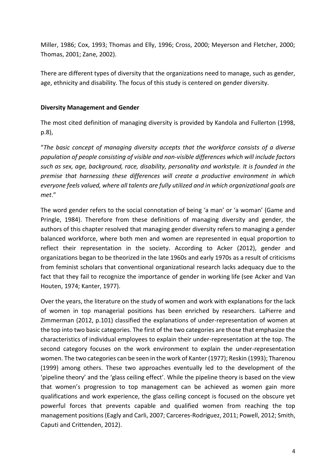Miller, 1986; Cox, 1993; Thomas and Elly, 1996; Cross, 2000; Meyerson and Fletcher, 2000; Thomas, 2001; Zane, 2002).

There are different types of diversity that the organizations need to manage, such as gender, age, ethnicity and disability. The focus of this study is centered on gender diversity.

## **Diversity Management and Gender**

The most cited definition of managing diversity is provided by Kandola and Fullerton (1998, p.8),

"*The basic concept of managing diversity accepts that the workforce consists of a diverse population of people consisting of visible and non-visible differences which will include factors such as sex, age, background, race, disability, personality and workstyle. It is founded in the premise that harnessing these differences will create a productive environment in which everyone feels valued, where all talents are fully utilized and in which organizational goals are met*."

The word gender refers to the social connotation of being 'a man' or 'a woman' (Game and Pringle, 1984). Therefore from these definitions of managing diversity and gender, the authors of this chapter resolved that managing gender diversity refers to managing a gender balanced workforce, where both men and women are represented in equal proportion to reflect their representation in the society. According to Acker (2012), gender and organizations began to be theorized in the late 1960s and early 1970s as a result of criticisms from feminist scholars that conventional organizational research lacks adequacy due to the fact that they fail to recognize the importance of gender in working life (see Acker and Van Houten, 1974; Kanter, 1977).

Over the years, the literature on the study of women and work with explanations for the lack of women in top managerial positions has been enriched by researchers. LaPierre and Zimmerman (2012, p.101) classified the explanations of under-representation of women at the top into two basic categories. The first of the two categories are those that emphasize the characteristics of individual employees to explain their under-representation at the top. The second category focuses on the work environment to explain the under-representation women. The two categories can be seen in the work of Kanter (1977); Reskin (1993); Tharenou (1999) among others. These two approaches eventually led to the development of the 'pipeline theory' and the 'glass ceiling effect'. While the pipeline theory is based on the view that women's progression to top management can be achieved as women gain more qualifications and work experience, the glass ceiling concept is focused on the obscure yet powerful forces that prevents capable and qualified women from reaching the top management positions(Eagly and Carli, 2007; Carceres-Rodriguez, 2011; Powell, 2012; Smith, Caputi and Crittenden, 2012).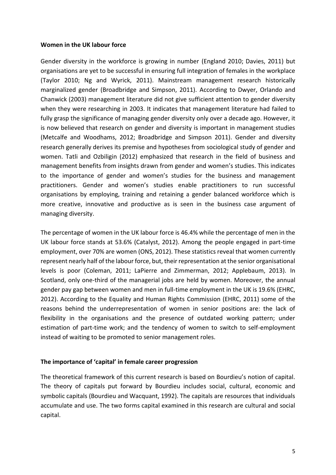## **Women in the UK labour force**

Gender diversity in the workforce is growing in number (England 2010; Davies, 2011) but organisations are yet to be successful in ensuring full integration of females in the workplace (Taylor 2010; Ng and Wyrick, 2011). Mainstream management research historically marginalized gender (Broadbridge and Simpson, 2011). According to Dwyer, Orlando and Chanwick (2003) management literature did not give sufficient attention to gender diversity when they were researching in 2003. It indicates that management literature had failed to fully grasp the significance of managing gender diversity only over a decade ago. However, it is now believed that research on gender and diversity is important in management studies (Metcalfe and Woodhams, 2012; Broadbridge and Simpson 2011). Gender and diversity research generally derives its premise and hypotheses from sociological study of gender and women. Tatli and Ozbiligin (2012) emphasized that research in the field of business and management benefits from insights drawn from gender and women's studies. This indicates to the importance of gender and women's studies for the business and management practitioners. Gender and women's studies enable practitioners to run successful organisations by employing, training and retaining a gender balanced workforce which is more creative, innovative and productive as is seen in the business case argument of managing diversity.

The percentage of women in the UK labour force is 46.4% while the percentage of men in the UK labour force stands at 53.6% (Catalyst, 2012). Among the people engaged in part-time employment, over 70% are women (ONS, 2012). These statistics reveal that women currently represent nearly half of the labour force, but, their representation at the senior organisational levels is poor (Coleman, 2011; LaPierre and Zimmerman, 2012; Applebaum, 2013). In Scotland, only one-third of the managerial jobs are held by women. Moreover, the annual gender pay gap between women and men in full-time employment in the UK is 19.6% (EHRC, 2012). According to the Equality and Human Rights Commission (EHRC, 2011) some of the reasons behind the underrepresentation of women in senior positions are: the lack of flexibility in the organisations and the presence of outdated working pattern; under estimation of part-time work; and the tendency of women to switch to self-employment instead of waiting to be promoted to senior management roles.

# **The importance of 'capital' in female career progression**

The theoretical framework of this current research is based on Bourdieu's notion of capital. The theory of capitals put forward by Bourdieu includes social, cultural, economic and symbolic capitals (Bourdieu and Wacquant, 1992). The capitals are resources that individuals accumulate and use. The two forms capital examined in this research are cultural and social capital.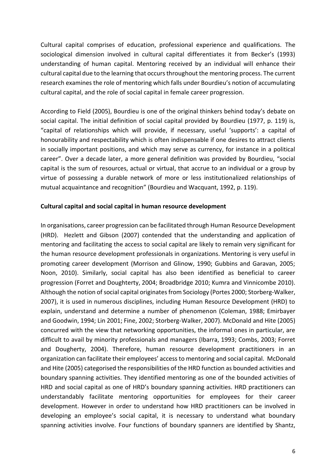Cultural capital comprises of education, professional experience and qualifications. The sociological dimension involved in cultural capital differentiates it from Becker's (1993) understanding of human capital. Mentoring received by an individual will enhance their cultural capital due to the learning that occurs throughout the mentoring process. The current research examines the role of mentoring which falls under Bourdieu's notion of accumulating cultural capital, and the role of social capital in female career progression.

According to Field (2005), Bourdieu is one of the original thinkers behind today's debate on social capital. The initial definition of social capital provided by Bourdieu (1977, p. 119) is, "capital of relationships which will provide, if necessary, useful 'supports': a capital of honourability and respectability which is often indispensable if one desires to attract clients in socially important positions, and which may serve as currency, for instance in a political career". Over a decade later, a more general definition was provided by Bourdieu, "social capital is the sum of resources, actual or virtual, that accrue to an individual or a group by virtue of possessing a durable network of more or less institutionalized relationships of mutual acquaintance and recognition" (Bourdieu and Wacquant, 1992, p. 119).

### **Cultural capital and social capital in human resource development**

In organisations, career progression can be facilitated through Human Resource Development (HRD). Hezlett and Gibson (2007) contended that the understanding and application of mentoring and facilitating the access to social capital are likely to remain very significant for the human resource development professionals in organizations. Mentoring is very useful in promoting career development (Morrison and Glinow, 1990; Gubbins and Garavan, 2005; Noon, 2010). Similarly, social capital has also been identified as beneficial to career progression (Forret and Doughterty, 2004; Broadbridge 2010; Kumra and Vinnicombe 2010). Although the notion of social capital originates from Sociology (Portes 2000; Storberg-Walker, 2007), it is used in numerous disciplines, including Human Resource Development (HRD) to explain, understand and determine a number of phenomenon (Coleman, 1988; Emirbayer and Goodwin, 1994; Lin 2001; Fine, 2002; Storberg-Walker, 2007). McDonald and Hite (2005) concurred with the view that networking opportunities, the informal ones in particular, are difficult to avail by minority professionals and managers (Ibarra, 1993; Combs, 2003; Forret and Dougherty, 2004). Therefore, human resource development practitioners in an organization can facilitate their employees' access to mentoring and social capital. McDonald and Hite (2005) categorised the responsibilities of the HRD function as bounded activities and boundary spanning activities. They identified mentoring as one of the bounded activities of HRD and social capital as one of HRD's boundary spanning activities. HRD practitioners can understandably facilitate mentoring opportunities for employees for their career development. However in order to understand how HRD practitioners can be involved in developing an employee's social capital, it is necessary to understand what boundary spanning activities involve. Four functions of boundary spanners are identified by Shantz,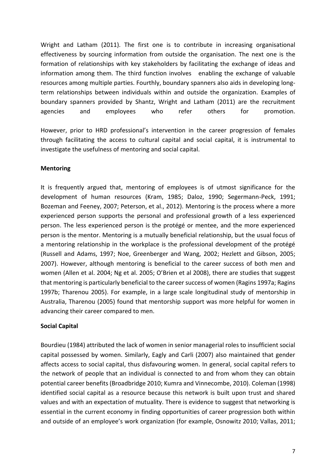Wright and Latham (2011). The first one is to contribute in increasing organisational effectiveness by sourcing information from outside the organisation. The next one is the formation of relationships with key stakeholders by facilitating the exchange of ideas and information among them. The third function involves enabling the exchange of valuable resources among multiple parties. Fourthly, boundary spanners also aids in developing longterm relationships between individuals within and outside the organization. Examples of boundary spanners provided by Shantz, Wright and Latham (2011) are the recruitment agencies and employees who refer others for promotion.

However, prior to HRD professional's intervention in the career progression of females through facilitating the access to cultural capital and social capital, it is instrumental to investigate the usefulness of mentoring and social capital.

# **Mentoring**

It is frequently argued that, mentoring of employees is of utmost significance for the development of human resources (Kram, 1985; Daloz, 1990; Segermann-Peck, 1991; Bozeman and Feeney, 2007; Peterson, et al., 2012). Mentoring is the process where a more experienced person supports the personal and professional growth of a less experienced person. The less experienced person is the protégé or mentee, and the more experienced person is the mentor. Mentoring is a mutually beneficial relationship, but the usual focus of a mentoring relationship in the workplace is the professional development of the protégé (Russell and Adams, 1997; Noe, Greenberger and Wang, 2002; Hezlett and Gibson, 2005; 2007). However, although mentoring is beneficial to the career success of both men and women (Allen et al. 2004; Ng et al. 2005; O'Brien et al 2008), there are studies that suggest that mentoring is particularly beneficial to the career success of women (Ragins 1997a; Ragins 1997b; Tharenou 2005). For example, in a large scale longitudinal study of mentorship in Australia, Tharenou (2005) found that mentorship support was more helpful for women in advancing their career compared to men.

# **Social Capital**

Bourdieu (1984) attributed the lack of women in senior managerial roles to insufficient social capital possessed by women. Similarly, Eagly and Carli (2007) also maintained that gender affects access to social capital, thus disfavouring women. In general, social capital refers to the network of people that an individual is connected to and from whom they can obtain potential career benefits (Broadbridge 2010; Kumra and Vinnecombe, 2010). Coleman (1998) identified social capital as a resource because this network is built upon trust and shared values and with an expectation of mutuality. There is evidence to suggest that networking is essential in the current economy in finding opportunities of career progression both within and outside of an employee's work organization (for example, Osnowitz 2010; Vallas, 2011;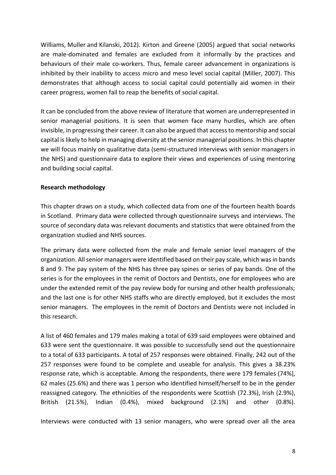Williams, Muller and Kilanski, 2012). Kirton and Greene (2005) argued that social networks are male-dominated and females are excluded from it informally by the practices and behaviours of their male co-workers. Thus, female career advancement in organizations is inhibited by their inability to access micro and meso level social capital (Miller, 2007). This demonstrates that although access to social capital could potentially aid women in their career progress, women fail to reap the benefits of social capital.

It can be concluded from the above review of literature that women are underrepresented in senior managerial positions. It is seen that women face many hurdles, which are often invisible, in progressing their career. It can also be argued that access to mentorship and social capital is likely to help in managing diversity at the senior managerial positions. In this chapter we will focus mainly on qualitative data (semi-structured interviews with senior managers in the NHS) and questionnaire data to explore their views and experiences of using mentoring and building social capital.

# **Research methodology**

This chapter draws on a study, which collected data from one of the fourteen health boards in Scotland. Primary data were collected through questionnaire surveys and interviews. The source of secondary data was relevant documents and statistics that were obtained from the organization studied and NHS sources.

The primary data were collected from the male and female senior level managers of the organization. All senior managers were identified based on their pay scale, which was in bands 8 and 9. The pay system of the NHS has three pay spines or series of pay bands. One of the series is for the employees in the remit of Doctors and Dentists, one for employees who are under the extended remit of the pay review body for nursing and other health professionals; and the last one is for other NHS staffs who are directly employed, but it excludes the most senior managers. The employees in the remit of Doctors and Dentists were not included in this research.

A list of 460 females and 179 males making a total of 639 said employees were obtained and 633 were sent the questionnaire. It was possible to successfully send out the questionnaire to a total of 633 participants. A total of 257 responses were obtained. Finally, 242 out of the 257 responses were found to be complete and useable for analysis. This gives a 38.23% response rate, which is acceptable. Among the respondents, there were 179 females (74%), 62 males (25.6%) and there was 1 person who identified himself/herself to be in the gender reassigned category. The ethnicities of the respondents were Scottish (72.3%), Irish (2.9%), British (21.5%), Indian (0.4%), mixed background (2.1%) and other (0.8%).

Interviews were conducted with 13 senior managers, who were spread over all the area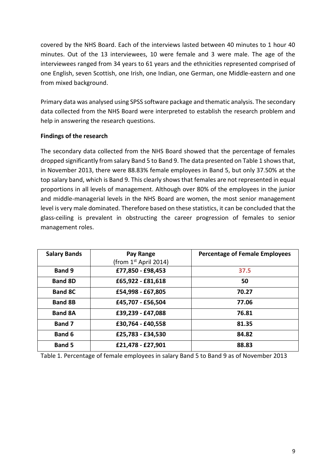covered by the NHS Board. Each of the interviews lasted between 40 minutes to 1 hour 40 minutes. Out of the 13 interviewees, 10 were female and 3 were male. The age of the interviewees ranged from 34 years to 61 years and the ethnicities represented comprised of one English, seven Scottish, one Irish, one Indian, one German, one Middle-eastern and one from mixed background.

Primary data was analysed using SPSS software package and thematic analysis. The secondary data collected from the NHS Board were interpreted to establish the research problem and help in answering the research questions.

# **Findings of the research**

The secondary data collected from the NHS Board showed that the percentage of females dropped significantly from salary Band 5 to Band 9. The data presented on Table 1 shows that, in November 2013, there were 88.83% female employees in Band 5, but only 37.50% at the top salary band, which is Band 9. This clearly shows that females are not represented in equal proportions in all levels of management. Although over 80% of the employees in the junior and middle-managerial levels in the NHS Board are women, the most senior management level is very male dominated. Therefore based on these statistics, it can be concluded that the glass-ceiling is prevalent in obstructing the career progression of females to senior management roles.

| <b>Salary Bands</b> | Pay Range<br>(from $1st$ April 2014) | <b>Percentage of Female Employees</b> |
|---------------------|--------------------------------------|---------------------------------------|
| <b>Band 9</b>       | £77,850 - £98,453                    | 37.5                                  |
| <b>Band 8D</b>      | £65,922 - £81,618                    | 50                                    |
| <b>Band 8C</b>      | £54,998 - £67,805                    | 70.27                                 |
| <b>Band 8B</b>      | £45,707 - £56,504                    | 77.06                                 |
| <b>Band 8A</b>      | £39,239 - £47,088                    | 76.81                                 |
| <b>Band 7</b>       | £30,764 - £40,558                    | 81.35                                 |
| <b>Band 6</b>       | £25,783 - £34,530                    | 84.82                                 |
| <b>Band 5</b>       | £21,478 - £27,901                    | 88.83                                 |

Table 1. Percentage of female employees in salary Band 5 to Band 9 as of November 2013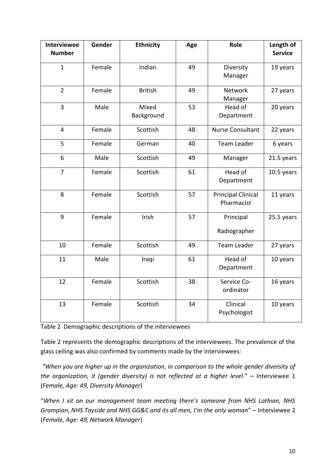| <b>Interviewee</b><br><b>Number</b> | Gender | <b>Ethnicity</b>    | Age                         | Role                                    | Length of<br><b>Service</b> |
|-------------------------------------|--------|---------------------|-----------------------------|-----------------------------------------|-----------------------------|
| $\mathbf{1}$                        | Female | Indian              | 49                          | Diversity<br>Manager                    | 19 years                    |
| $\overline{2}$                      | Female | <b>British</b>      | 49<br>Network<br>Manager    |                                         | 27 years                    |
| 3                                   | Male   | Mixed<br>Background | Head of<br>53<br>Department |                                         | 20 years                    |
| $\overline{4}$                      | Female | Scottish            | 48                          | <b>Nurse Consultant</b>                 |                             |
| 5                                   | Female | German              | 40                          | <b>Team Leader</b>                      | 6 years                     |
| 6                                   | Male   | Scottish            | 49                          | Manager                                 | 21.5 years                  |
| $\overline{7}$                      | Female | Scottish            | 61                          | Head of<br>Department                   | 10.5 years                  |
| 8                                   | Female | Scottish            | 57                          | <b>Principal Clinical</b><br>Pharmacist | 11 years                    |
| 9                                   | Female | Irish               | 57                          | Principal<br>Radiographer               | 25.5 years                  |
| 10                                  | Female | Scottish            | 49                          | Team Leader                             | 27 years                    |
| 11                                  | Male   | Iraqi               | 61                          | Head of<br>Department                   | 10 years                    |
| 12                                  | Female | Scottish            | 38                          | Service Co-<br>ordinator                | 16 years                    |
| 13                                  | Female | Scottish            | 34                          | Clinical<br>Psychologist                | 10 years                    |

Table 2 Demographic descriptions of the interviewees

Table 2 represents the demographic descriptions of the interviewees. The prevalence of the glass ceiling was also confirmed by comments made by the interviewees:

*"When you are higher up in the organization, in comparison to the whole gender diversity of the organization, it (gender diversity) is not reflected at a higher level.*" – Interviewee 1 (*Female, Age: 49, Diversity Manager*)

"*When I sit on our management team meeting there's someone from NHS Lothian, NHS Grampian, NHS Tayside and NHS GG&C and its all men, I'm the only woman*" – Interviewee 2 (*Female, Age: 49, Network Manager*)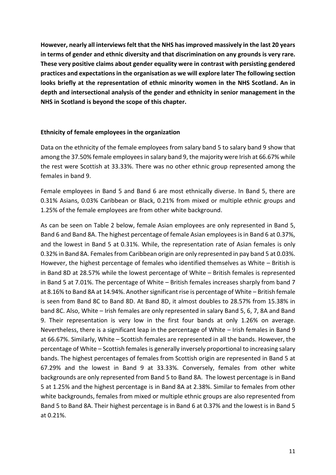**However, nearly all interviews felt that the NHS has improved massively in the last 20 years in terms of gender and ethnic diversity and that discrimination on any grounds is very rare. These very positive claims about gender equality were in contrast with persisting gendered practices and expectations in the organisation as we will explore later The following section looks briefly at the representation of ethnic minority women in the NHS Scotland. An in depth and intersectional analysis of the gender and ethnicity in senior management in the NHS in Scotland is beyond the scope of this chapter.** 

#### **Ethnicity of female employees in the organization**

Data on the ethnicity of the female employees from salary band 5 to salary band 9 show that among the 37.50% female employees in salary band 9, the majority were Irish at 66.67% while the rest were Scottish at 33.33%. There was no other ethnic group represented among the females in band 9.

Female employees in Band 5 and Band 6 are most ethnically diverse. In Band 5, there are 0.31% Asians, 0.03% Caribbean or Black, 0.21% from mixed or multiple ethnic groups and 1.25% of the female employees are from other white background.

As can be seen on Table 2 below, female Asian employees are only represented in Band 5, Band 6 and Band 8A. The highest percentage of female Asian employees is in Band 6 at 0.37%, and the lowest in Band 5 at 0.31%. While, the representation rate of Asian females is only 0.32% in Band 8A. Females from Caribbean origin are only represented in pay band 5 at 0.03%. However, the highest percentage of females who identified themselves as White – British is in Band 8D at 28.57% while the lowest percentage of White – British females is represented in Band 5 at 7.01%. The percentage of White – British females increases sharply from band 7 at 8.16% to Band 8A at 14.94%. Another significant rise is percentage of White – British female is seen from Band 8C to Band 8D. At Band 8D, it almost doubles to 28.57% from 15.38% in band 8C. Also, White – Irish females are only represented in salary Band 5, 6, 7, 8A and Band 9. Their representation is very low in the first four bands at only 1.26% on average. Nevertheless, there is a significant leap in the percentage of White – Irish females in Band 9 at 66.67%. Similarly, White – Scottish females are represented in all the bands. However, the percentage of White – Scottish females is generally inversely proportional to increasing salary bands. The highest percentages of females from Scottish origin are represented in Band 5 at 67.29% and the lowest in Band 9 at 33.33%. Conversely, females from other white backgrounds are only represented from Band 5 to Band 8A. The lowest percentage is in Band 5 at 1.25% and the highest percentage is in Band 8A at 2.38%. Similar to females from other white backgrounds, females from mixed or multiple ethnic groups are also represented from Band 5 to Band 8A. Their highest percentage is in Band 6 at 0.37% and the lowest is in Band 5 at 0.21%.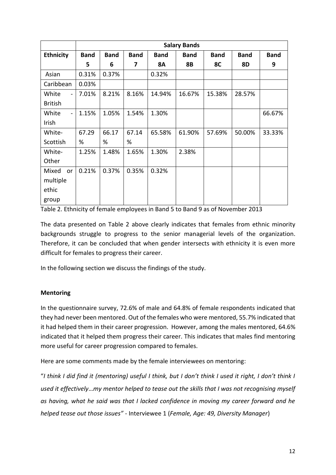|                                   | <b>Salary Bands</b> |             |             |             |             |             |             |             |
|-----------------------------------|---------------------|-------------|-------------|-------------|-------------|-------------|-------------|-------------|
| <b>Ethnicity</b>                  | <b>Band</b>         | <b>Band</b> | <b>Band</b> | <b>Band</b> | <b>Band</b> | <b>Band</b> | <b>Band</b> | <b>Band</b> |
|                                   | 5                   | 6           | 7           | <b>8A</b>   | 8B          | 8C          | 8D          | 9           |
| Asian                             | 0.31%               | 0.37%       |             | 0.32%       |             |             |             |             |
| Caribbean                         | 0.03%               |             |             |             |             |             |             |             |
| White<br>$\overline{\phantom{0}}$ | 7.01%               | 8.21%       | 8.16%       | 14.94%      | 16.67%      | 15.38%      | 28.57%      |             |
| <b>British</b>                    |                     |             |             |             |             |             |             |             |
| White<br>$\blacksquare$           | 1.15%               | 1.05%       | 1.54%       | 1.30%       |             |             |             | 66.67%      |
| Irish                             |                     |             |             |             |             |             |             |             |
| White-                            | 67.29               | 66.17       | 67.14       | 65.58%      | 61.90%      | 57.69%      | 50.00%      | 33.33%      |
| Scottish                          | %                   | %           | %           |             |             |             |             |             |
| White-                            | 1.25%               | 1.48%       | 1.65%       | 1.30%       | 2.38%       |             |             |             |
| Other                             |                     |             |             |             |             |             |             |             |
| Mixed<br>or                       | 0.21%               | 0.37%       | 0.35%       | 0.32%       |             |             |             |             |
| multiple                          |                     |             |             |             |             |             |             |             |
| ethic                             |                     |             |             |             |             |             |             |             |
| group                             |                     |             |             |             |             |             |             |             |

Table 2. Ethnicity of female employees in Band 5 to Band 9 as of November 2013

The data presented on Table 2 above clearly indicates that females from ethnic minority backgrounds struggle to progress to the senior managerial levels of the organization. Therefore, it can be concluded that when gender intersects with ethnicity it is even more difficult for females to progress their career.

In the following section we discuss the findings of the study.

# **Mentoring**

In the questionnaire survey, 72.6% of male and 64.8% of female respondents indicated that they had never been mentored. Out of the females who were mentored, 55.7% indicated that it had helped them in their career progression. However, among the males mentored, 64.6% indicated that it helped them progress their career. This indicates that males find mentoring more useful for career progression compared to females.

Here are some comments made by the female interviewees on mentoring:

"*I think I did find it (mentoring) useful I think, but I don't think I used it right, I don't think I used it effectively*…*my mentor helped to tease out the skills that I was not recognising myself as having, what he said was that I lacked confidence in moving my career forward and he helped tease out those issues"* - Interviewee 1 (*Female, Age: 49, Diversity Manager*)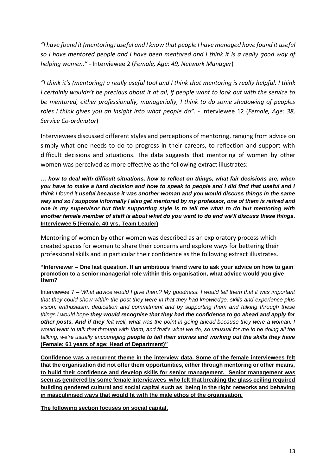*"I have found it (mentoring) useful and I know that people I have managed have found it useful so I have mentored people and I have been mentored and I think it is a really good way of helping women."* - Interviewee 2 (*Female, Age: 49, Network Manager*)

*"I think it's (mentoring) a really useful tool and I think that mentoring is really helpful. I think I certainly wouldn't be precious about it at all, if people want to look out with the service to be mentored, either professionally, managerially, I think to do some shadowing of peoples roles I think gives you an insight into what people do".* - Interviewee 12 (*Female, Age: 38, Service Co-ordinator*)

Interviewees discussed different styles and perceptions of mentoring, ranging from advice on simply what one needs to do to progress in their careers, to reflection and support with difficult decisions and situations. The data suggests that mentoring of women by other women was perceived as more effective as the following extract illustrates:

*… how to deal with difficult situations, how to reflect on things, what fair decisions are, when you have to make a hard decision and how to speak to people and I did find that useful and I think I found it useful because it was another woman and you would discuss things in the same way and so I suppose informally I also get mentored by my professor, one of them is retired and one is my supervisor but their supporting style is to tell me what to do but mentoring with another female member of staff is about what do you want to do and we'll discuss these things.* **Interviewee 5 (Female, 40 yrs, Team Leader)**

Mentoring of women by other women was described as an exploratory process which created spaces for women to share their concerns and explore ways for bettering their professional skills and in particular their confidence as the following extract illustrates.

#### **"Interviewer – One last question. If an ambitious friend were to ask your advice on how to gain promotion to a senior managerial role within this organisation, what advice would you give them?**

Interviewee 7 – *What advice would I give them? My goodness. I would tell them that it was important that they could show within the post they were in that they had knowledge, skills and experience plus vision, enthusiasm, dedication and commitment and by supporting them and talking through these things I would hope they would recognise that they had the confidence to go ahead and apply for other posts. And if they felt well, what was the point in going ahead because they were a woman, I would want to talk that through with them, and that's what we do, so unusual for me to be doing all the talking, we're usually encouraging people to tell their stories and working out the skills they have*  **(Female; 61 years of age; Head of Department)"**

**Confidence was a recurrent theme in the interview data. Some of the female interviewees felt that the organisation did not offer them opportunities, either through mentoring or other means, to build their confidence and develop skills for senior management. Senior management was seen as gendered by some female interviewees who felt that breaking the glass ceiling required building gendered cultural and social capital such as being in the right networks and behaving in masculinised ways that would fit with the male ethos of the organisation.** 

**The following section focuses on social capital.**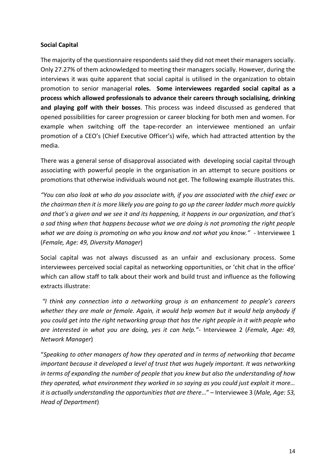# **Social Capital**

The majority of the questionnaire respondents said they did not meet their managers socially. Only 27.27% of them acknowledged to meeting their managers socially. However, during the interviews it was quite apparent that social capital is utilised in the organization to obtain promotion to senior managerial **roles. Some interviewees regarded social capital as a process which allowed professionals to advance their careers through socialising, drinking and playing golf with their bosses**. This process was indeed discussed as gendered that opened possibilities for career progression or career blocking for both men and women. For example when switching off the tape-recorder an interviewee mentioned an unfair promotion of a CEO's (Chief Executive Officer's) wife, which had attracted attention by the media.

There was a general sense of disapproval associated with developing social capital through associating with powerful people in the organisation in an attempt to secure positions or promotions that otherwise individuals wound not get. The following example illustrates this.

*"You can also look at who do you associate with, if you are associated with the chief exec or the chairman then it is more likely you are going to go up the career ladder much more quickly and that's a given and we see it and its happening, it happens in our organization, and that's a sad thing when that happens because what we are doing is not promoting the right people what we are doing is promoting on who you know and not what you know."* - Interviewee 1 (*Female, Age: 49, Diversity Manager*)

Social capital was not always discussed as an unfair and exclusionary process. Some interviewees perceived social capital as networking opportunities, or 'chit chat in the office' which can allow staff to talk about their work and build trust and influence as the following extracts illustrate:

*"I think any connection into a networking group is an enhancement to people's careers whether they are male or female. Again, it would help women but it would help anybody if you could get into the right networking group that has the right people in it with people who are interested in what you are doing, yes it can help."-* Interviewee 2 (*Female, Age: 49, Network Manager*)

"*Speaking to other managers of how they operated and in terms of networking that became important because it developed a level of trust that was hugely important. It was networking in terms of expanding the number of people that you knew but also the understanding of how they operated, what environment they worked in so saying as you could just exploit it more… it is actually understanding the opportunities that are there*…" – Interviewee 3 (*Male, Age: 53, Head of Department*)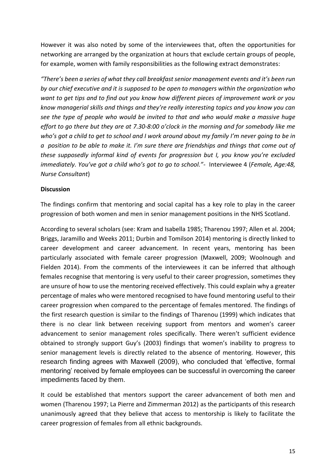However it was also noted by some of the interviewees that, often the opportunities for networking are arranged by the organization at hours that exclude certain groups of people, for example, women with family responsibilities as the following extract demonstrates:

*"There's been a series of what they call breakfast senior management events and it's been run by our chief executive and it is supposed to be open to managers within the organization who want to get tips and to find out you know how different pieces of improvement work or you know managerial skills and things and they're really interesting topics and you know you can see the type of people who would be invited to that and who would make a massive huge effort to go there but they are at 7.30-8:00 o'clock in the morning and for somebody like me who's got a child to get to school and I work around about my family I'm never going to be in a position to be able to make it. I'm sure there are friendships and things that come out of these supposedly informal kind of events for progression but I, you know you're excluded immediately. You've got a child who's got to go to school."-* Interviewee 4 (*Female, Age:48, Nurse Consultant*)

# **Discussion**

The findings confirm that mentoring and social capital has a key role to play in the career progression of both women and men in senior management positions in the NHS Scotland.

According to several scholars (see: Kram and Isabella 1985; Tharenou 1997; Allen et al. 2004; Briggs, Jaramillo and Weeks 2011; Durbin and Tomilson 2014) mentoring is directly linked to career development and career advancement. In recent years, mentoring has been particularly associated with female career progression (Maxwell, 2009; Woolnough and Fielden 2014). From the comments of the interviewees it can be inferred that although females recognise that mentoring is very useful to their career progression, sometimes they are unsure of how to use the mentoring received effectively. This could explain why a greater percentage of males who were mentored recognised to have found mentoring useful to their career progression when compared to the percentage of females mentored. The findings of the first research question is similar to the findings of Tharenou (1999) which indicates that there is no clear link between receiving support from mentors and women's career advancement to senior management roles specifically. There weren't sufficient evidence obtained to strongly support Guy's (2003) findings that women's inability to progress to senior management levels is directly related to the absence of mentoring. However, this research finding agrees with Maxwell (2009), who concluded that 'effective, formal mentoring' received by female employees can be successful in overcoming the career impediments faced by them.

It could be established that mentors support the career advancement of both men and women (Tharenou 1997; La Pierre and Zimmerman 2012) as the participants of this research unanimously agreed that they believe that access to mentorship is likely to facilitate the career progression of females from all ethnic backgrounds.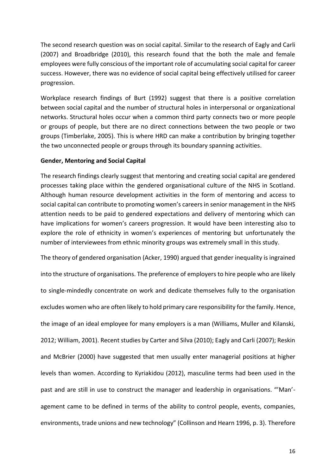The second research question was on social capital. Similar to the research of Eagly and Carli (2007) and Broadbridge (2010), this research found that the both the male and female employees were fully conscious of the important role of accumulating social capital for career success. However, there was no evidence of social capital being effectively utilised for career progression.

Workplace research findings of Burt (1992) suggest that there is a positive correlation between social capital and the number of structural holes in interpersonal or organizational networks. Structural holes occur when a common third party connects two or more people or groups of people, but there are no direct connections between the two people or two groups (Timberlake, 2005). This is where HRD can make a contribution by bringing together the two unconnected people or groups through its boundary spanning activities.

#### **Gender, Mentoring and Social Capital**

The research findings clearly suggest that mentoring and creating social capital are gendered processes taking place within the gendered organisational culture of the NHS in Scotland. Although human resource development activities in the form of mentoring and access to social capital can contribute to promoting women's careers in senior management in the NHS attention needs to be paid to gendered expectations and delivery of mentoring which can have implications for women's careers progression. It would have been interesting also to explore the role of ethnicity in women's experiences of mentoring but unfortunately the number of interviewees from ethnic minority groups was extremely small in this study.

The theory of gendered organisation (Acker, 1990) argued that gender inequality is ingrained

into the structure of organisations. The preference of employers to hire people who are likely to single-mindedly concentrate on work and dedicate themselves fully to the organisation excludes women who are often likely to hold primary care responsibility for the family. Hence, the image of an ideal employee for many employers is a man (Williams, Muller and Kilanski, 2012; William, 2001). Recent studies by Carter and Silva (2010); Eagly and Carli (2007); Reskin and McBrier (2000) have suggested that men usually enter managerial positions at higher levels than women. According to Kyriakidou (2012), masculine terms had been used in the past and are still in use to construct the manager and leadership in organisations. "'Man' agement came to be defined in terms of the ability to control people, events, companies, environments, trade unions and new technology" (Collinson and Hearn 1996, p. 3). Therefore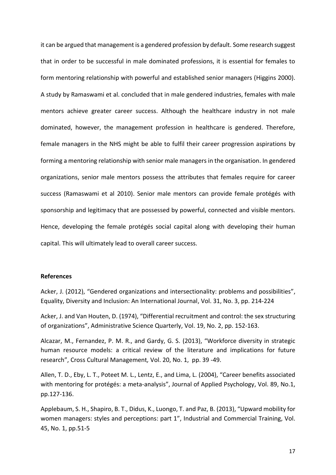it can be argued that management is a gendered profession by default. Some research suggest that in order to be successful in male dominated professions, it is essential for females to form mentoring relationship with powerful and established senior managers (Higgins 2000). A study by Ramaswami et al. concluded that in male gendered industries, females with male mentors achieve greater career success. Although the healthcare industry in not male dominated, however, the management profession in healthcare is gendered. Therefore, female managers in the NHS might be able to fulfil their career progression aspirations by forming a mentoring relationship with senior male managers in the organisation. In gendered organizations, senior male mentors possess the attributes that females require for career success (Ramaswami et al 2010). Senior male mentors can provide female protégés with sponsorship and legitimacy that are possessed by powerful, connected and visible mentors. Hence, developing the female protégés social capital along with developing their human capital. This will ultimately lead to overall career success.

#### **References**

Acker, J. (2012), "Gendered organizations and intersectionality: problems and possibilities", Equality, Diversity and Inclusion: An International Journal, Vol. 31, No. 3, pp. 214-224

Acker, J. and Van Houten, D. (1974), "Differential recruitment and control: the sex structuring of organizations", Administrative Science Quarterly, Vol. 19, No. 2, pp. 152-163.

Alcazar, M., Fernandez, P. M. R., and Gardy, G. S. (2013), "Workforce diversity in strategic human resource models: a critical review of the literature and implications for future research", Cross Cultural Management*,* Vol. 20, No. 1, pp. 39 -49.

Allen, T. D., Eby, L. T., Poteet M. L., Lentz, E., and Lima, L. (2004), "Career benefits associated with mentoring for protégés: a meta-analysis", Journal of Applied Psychology, Vol. 89, No.1, pp.127-136.

Applebaum, S. H., Shapiro, B. T., Didus, K., Luongo, T. and Paz, B. (2013), "Upward mobility for women managers: styles and perceptions: part 1", Industrial and Commercial Training, Vol. 45, No. 1, pp.51-5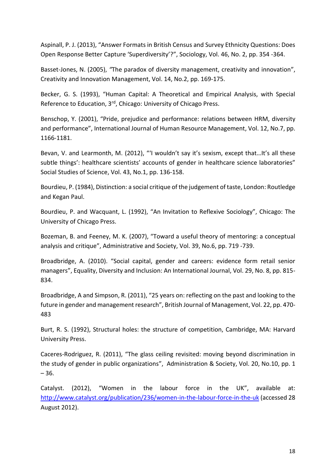Aspinall, P. J. (2013), "Answer Formats in British Census and Survey Ethnicity Questions: Does Open Response Better Capture 'Superdiversity'?", Sociology, Vol. 46, No. 2, pp. 354 -364.

Basset-Jones, N. (2005), *"*The paradox of diversity management, creativity and innovation", Creativity and Innovation Management, Vol. 14, No.2, pp. 169-175.

Becker, G. S. (1993), "Human Capital: A Theoretical and Empirical Analysis, with Special Reference to Education, 3<sup>rd</sup>, Chicago: University of Chicago Press.

Benschop, Y. (2001), "Pride, prejudice and performance: relations between HRM, diversity and performance", International Journal of Human Resource Management, Vol. 12, No.7, pp. 1166-1181.

Bevan, V. and Learmonth, M. (2012), "'I wouldn't say it's sexism, except that…It's all these subtle things': healthcare scientists' accounts of gender in healthcare science laboratories" Social Studies of Science, Vol. 43, No.1, pp. 136-158.

Bourdieu, P. (1984), Distinction: a social critique of the judgement of taste, London: Routledge and Kegan Paul.

Bourdieu, P. and Wacquant, L. (1992), "An Invitation to Reflexive Sociology", Chicago: The University of Chicago Press.

Bozeman, B. and Feeney, M. K. (2007), "Toward a useful theory of mentoring: a conceptual analysis and critique", Administrative and Society, Vol. 39, No.6, pp. 719 -739.

Broadbridge, A. (2010). "Social capital, gender and careers: evidence form retail senior managers", Equality, Diversity and Inclusion: An International Journal, Vol. 29, No. 8, pp. 815- 834.

Broadbridge, A and Simpson, R. (2011), "25 years on: reflecting on the past and looking to the future in gender and management research", British Journal of Management, Vol. 22, pp. 470- 483

Burt, R. S. (1992), Structural holes: the structure of competition, Cambridge, MA: Harvard University Press.

Caceres-Rodriguez, R. (2011), "The glass ceiling revisited: moving beyond discrimination in the study of gender in public organizations", Administration & Society, Vol. 20, No.10, pp. 1 – 36.

Catalyst. (2012), "Women in the labour force in the UK", available at: <http://www.catalyst.org/publication/236/women-in-the-labour-force-in-the-uk> (accessed 28 August 2012).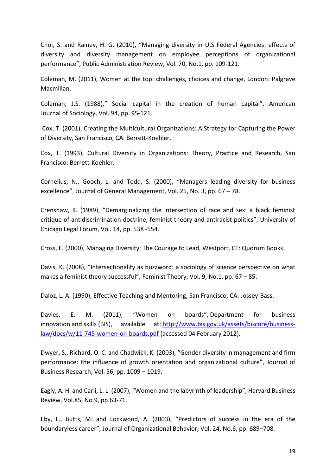Choi, S. and Rainey, H. G. (2010), "Managing diversity in U.S Federal Agencies: effects of diversity and diversity management on employee perceptions of organizational performance", Public Administration Review, Vol. 70, No.1, pp. 109-121.

Coleman, M. (2011), Women at the top: challenges, choices and change, London: Palgrave Macmillan.

Coleman, J.S. (1988)," Social capital in the creation of human capital", American Journal of Sociology, Vol. 94, pp. 95-121.

Cox, T. (2001), Creating the Multicultural Organizations: A Strategy for Capturing the Power of Diversity, San Francisco, CA: Berrett-Koehler.

Cox, T. (1993), Cultural Diversity in Organizations: Theory, Practice and Research, San Francisco: Berrett-Koehler.

Cornelius, N., Gooch, L. and Todd, S. (2000), "Managers leading diversity for business excellence", Journal of General Management, Vol. 25, No. 3, pp. 67 – 78.

Crenshaw, K. (1989), "Demarginalizing the intersection of race and sex: a black feminist critique of antidiscrimination doctrine, feminist theory and antiracist politics", University of Chicago Legal Forum, Vol. 14, pp. 538 -554.

Cross, E. (2000), Managing Diversity: The Courage to Lead, Westport, CT: Quorum Books.

Davis, K. (2008), "Intersectionality as buzzword: a sociology of science perspective on what makes a feminist theory successful", Feminist Theory, Vol. 9, No.1, pp. 67 – 85.

Daloz, L. A. (1990), Effective Teaching and Mentoring, San Francisco, CA: Jossey-Bass.

Davies, E. M. (2011), "Women on boards", Department for business innovation and skills (BIS), available at: [http://www.bis.gov.uk/assets/biscore/business](https://db3prd0104.outlook.com/owa/redir.aspx?C=g-t8sKYhKUuc5eET8OdxvZTP-e4n7M4IX9-Y-sUIAc-XustODIX3JAFV_l5CMDCPyfP1L8YebSU.&URL=http%3a%2f%2fwww.bis.gov.uk%2fassets%2fbiscore%2fbusiness-law%2fdocs%2fw%2f11-745-women-on-boards.pdf)[law/docs/w/11-745-women-on-boards.pdf](https://db3prd0104.outlook.com/owa/redir.aspx?C=g-t8sKYhKUuc5eET8OdxvZTP-e4n7M4IX9-Y-sUIAc-XustODIX3JAFV_l5CMDCPyfP1L8YebSU.&URL=http%3a%2f%2fwww.bis.gov.uk%2fassets%2fbiscore%2fbusiness-law%2fdocs%2fw%2f11-745-women-on-boards.pdf) (accessed 04 February 2012).

Dwyer, S., Richard, O. C. and Chadwick, K. (2003), "Gender diversity in management and firm performance: the influence of growth orientation and organizational culture", Journal of Business Research, Vol. 56, pp. 1009 – 1019.

Eagly, A. H. and Carli, L. L. (2007), "Women and the labyrinth of leadership", Harvard Business Review, Vol.85, No.9, pp.63-71.

Eby, L., Butts, M. and Lockwood, A. (2003), "Predictors of success in the era of the boundaryless career", Journal of Organizational Behavior, Vol. 24, No.6, pp. 689–708.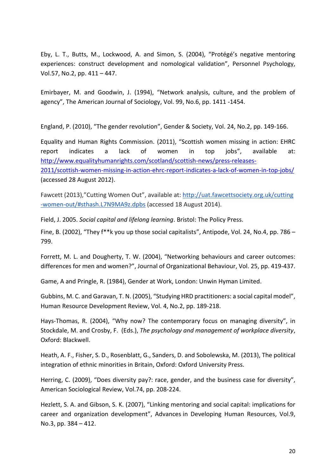Eby, L. T., Butts, M., Lockwood, A. and Simon, S. (2004), "Protégé's negative mentoring experiences: construct development and nomological validation", Personnel Psychology, Vol.57, No.2, pp. 411 – 447.

Emirbayer, M. and Goodwin, J. (1994), "Network analysis, culture, and the problem of agency", The American Journal of Sociology, Vol. 99, No.6, pp. 1411 -1454.

England, P. (2010), "The gender revolution", Gender & Society, Vol. 24, No.2, pp. 149-166.

Equality and Human Rights Commission. (2011), "Scottish women missing in action: EHRC report indicates a lack of women in top jobs", available at: [http://www.equalityhumanrights.com/scotland/scottish-news/press-releases-](http://www.equalityhumanrights.com/scotland/scottish-news/press-releases-2011/scottish-women-missing-in-action-ehrc-report-indicates-a-lack-of-women-in-top-jobs/)[2011/scottish-women-missing-in-action-ehrc-report-indicates-a-lack-of-women-in-top-jobs/](http://www.equalityhumanrights.com/scotland/scottish-news/press-releases-2011/scottish-women-missing-in-action-ehrc-report-indicates-a-lack-of-women-in-top-jobs/)

(accessed 28 August 2012).

Fawcett (2013),"Cutting Women Out", available at: [http://uat.fawcettsociety.org.uk/cutting](http://uat.fawcettsociety.org.uk/cutting-women-out/#sthash.L7N9MA9z.dpbs) [-women-out/#sthash.L7N9MA9z.dpbs](http://uat.fawcettsociety.org.uk/cutting-women-out/#sthash.L7N9MA9z.dpbs) (accessed 18 August 2014).

Field, J. 2005. *Social capital and lifelong learning*. Bristol: The Policy Press.

Fine, B. (2002), "They f\*\*k you up those social capitalists", Antipode, Vol. 24, No.4, pp. 786 – 799.

Forrett, M. L. and Dougherty, T. W. (2004), "Networking behaviours and career outcomes: differences for men and women?", Journal of Organizational Behaviour, Vol. 25, pp. 419-437.

Game, A and Pringle, R. (1984), Gender at Work, London: Unwin Hyman Limited.

Gubbins, M. C. and Garavan, T. N. (2005), "Studying HRD practitioners: a social capital model", Human Resource Development Review, Vol. 4, No.2, pp. 189-218.

Hays-Thomas, R. (2004), "Why now? The contemporary focus on managing diversity", in Stockdale, M. and Crosby, F. (Eds.), *The psychology and management of workplace diversity*, Oxford: Blackwell.

Heath, A. F., Fisher, S. D., Rosenblatt, G., Sanders, D. and Sobolewska, M. (2013), The political integration of ethnic minorities in Britain, Oxford: Oxford University Press.

Herring, C. (2009), "Does diversity pay?: race, gender, and the business case for diversity", American Sociological Review, Vol.74, pp. 208-224.

Hezlett, S. A. and Gibson, S. K. (2007), "Linking mentoring and social capital: implications for career and organization development", Advances in Developing Human Resources, Vol.9, No.3, pp. 384 – 412.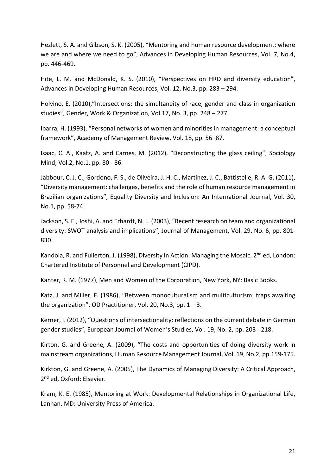Hezlett, S. A. and Gibson, S. K. (2005), "Mentoring and human resource development: where we are and where we need to go", Advances in Developing Human Resources, Vol. 7, No.4, pp. 446-469.

Hite, L. M. and McDonald, K. S. (2010), "Perspectives on HRD and diversity education", Advances in Developing Human Resources, Vol. 12, No.3, pp. 283 – 294.

Holvino, E. (2010),"Intersections: the simultaneity of race, gender and class in organization studies", Gender, Work & Organization, Vol.17, No. 3, pp. 248 – 277.

Ibarra, H. (1993), "Personal networks of women and minorities in management: a conceptual framework", Academy of Management Review, Vol. 18, pp. 56–87.

Isaac, C. A., Kaatz, A. and Carnes, M. (2012), "Deconstructing the glass ceiling", Sociology Mind, Vol.2, No.1, pp. 80 - 86.

Jabbour, C. J. C., Gordono, F. S., de Oliveira, J. H. C., Martinez, J. C., Battistelle, R. A. G. (2011), "Diversity management: challenges, benefits and the role of human resource management in Brazilian organizations", Equality Diversity and Inclusion: An International Journal, Vol. 30, No.1, pp. 58-74.

Jackson, S. E., Joshi, A. and Erhardt, N. L. (2003), "Recent research on team and organizational diversity: SWOT analysis and implications", Journal of Management, Vol. 29, No. 6, pp. 801- 830.

Kandola, R. and Fullerton, J. (1998), Diversity in Action: Managing the Mosaic, 2<sup>nd</sup> ed, London: Chartered Institute of Personnel and Development (CIPD).

Kanter, R. M. (1977), Men and Women of the Corporation, New York, NY: Basic Books.

Katz, J. and Miller, F. (1986), "Between monoculturalism and multiculturism: traps awaiting the organization", OD Practitioner, Vol. 20, No.3, pp.  $1 - 3$ .

Kerner, I. (2012), "Questions of intersectionality: reflections on the current debate in German gender studies", European Journal of Women's Studies, Vol. 19, No. 2, pp. 203 - 218.

Kirton, G. and Greene, A. (2009), "The costs and opportunities of doing diversity work in mainstream organizations, Human Resource Management Journal, Vol. 19, No.2, pp.159-175.

Kirkton, G. and Greene, A. (2005), The Dynamics of Managing Diversity: A Critical Approach, 2<sup>nd</sup> ed, Oxford: Elsevier.

Kram, K. E. (1985), Mentoring at Work: Developmental Relationships in Organizational Life, Lanhan, MD: University Press of America.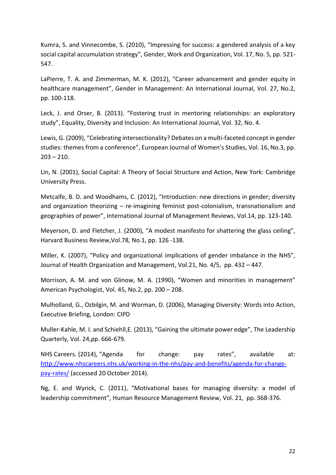Kumra, S. and Vinnecombe, S. (2010), "Impressing for success: a gendered analysis of a key social capital accumulation strategy", Gender, Work and Organization, Vol. 17, No. 5, pp. 521- 547.

LaPierre, T. A. and Zimmerman, M. K. (2012), "Career advancement and gender equity in healthcare management", Gender in Management: An International Journal, Vol. 27, No.2, pp. 100-118.

Leck, J. and Orser, B. (2013). "Fostering trust in mentoring relationships: an exploratory study", Equality, Diversity and Inclusion: An International Journal, Vol. 32, No. 4.

Lewis, G. (2009), "Celebrating intersectionality? Debates on a multi-faceted concept in gender studies: themes from a conference", European Journal of Women's Studies, Vol. 16, No.3, pp.  $203 - 210$ .

Lin, N. (2001), Social Capital: A Theory of Social Structure and Action, New York: Cambridge University Press.

Metcalfe, B. D. and Woodhams, C. (2012), "Introduction: new directions in gender; diversity and organization theorizing – re-imagining feminist post-colonialism, transnationalism and geographies of power", International Journal of Management Reviews, Vol.14, pp. 123-140.

Meyerson, D. and Fletcher, J. (2000), "A modest manifesto for shattering the glass ceiling", Harvard Business Review,Vol.78, No.1, pp. 126 -138.

Miller, K. (2007), "Policy and organizational implications of gender imbalance in the NHS", Journal of Health Organization and Management, Vol.21, No. 4/5, pp. 432 – 447.

Morrison, A. M. and von Glinow, M. A. (1990), "Women and minorities in management" American Psychologist, Vol. 45, No.2, pp. 200 – 208.

Mulholland, G., Ozbilgin, M. and Worman, D. (2006), Managing Diversity: Words into Action, Executive Briefing, London: CIPD

Muller-Kahle, M. I. and Schiehll,E. (2013), "Gaining the ultimate power edge", The Leadership Quarterly, Vol. 24,pp. 666-679.

NHS Careers. (2014), "Agenda for change: pay rates", available at: [http://www.nhscareers.nhs.uk/working-in-the-nhs/pay-and-benefits/agenda-for-change](http://www.nhscareers.nhs.uk/working-in-the-nhs/pay-and-benefits/agenda-for-change-pay-rates/)[pay-rates/](http://www.nhscareers.nhs.uk/working-in-the-nhs/pay-and-benefits/agenda-for-change-pay-rates/) (accessed 20 October 2014).

Ng, E. and Wyrick, C. (2011), "Motivational bases for managing diversity: a model of leadership commitment", Human Resource Management Review, Vol. 21, pp. 368-376.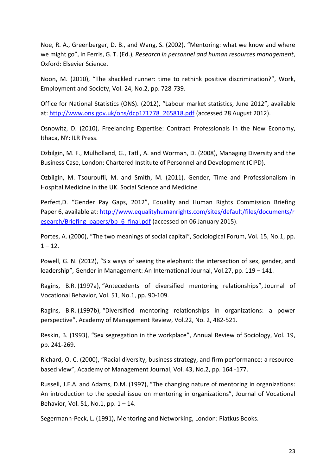Noe, R. A., Greenberger, D. B., and Wang, S. (2002), "Mentoring: what we know and where we might go", in Ferris, G. T. (Ed.), *Research in personnel and human resources management*, Oxford: Elsevier Science.

Noon, M. (2010), "The shackled runner: time to rethink positive discrimination?", Work, Employment and Society, Vol. 24, No.2, pp. 728-739.

Office for National Statistics (ONS). (2012), "Labour market statistics, June 2012", available at[: http://www.ons.gov.uk/ons/dcp171778\\_265818.pdf](http://www.ons.gov.uk/ons/dcp171778_265818.pdf) (accessed 28 August 2012).

Osnowitz, D. (2010), Freelancing Expertise: Contract Professionals in the New Economy, Ithaca, NY: ILR Press.

Ozbilgin, M. F., Mulholland, G., Tatli, A. and Worman, D. (2008), Managing Diversity and the Business Case, London: Chartered Institute of Personnel and Development (CIPD).

Ozbilgin, M. Tsouroufli, M. and Smith, M. (2011). Gender, Time and Professionalism in Hospital Medicine in the UK. Social Science and Medicine

Perfect,D. "Gender Pay Gaps, 2012", Equality and Human Rights Commission Briefing Paper 6, available at: [http://www.equalityhumanrights.com/sites/default/files/documents/r](http://www.equalityhumanrights.com/sites/default/files/documents/research/Briefing_papers/bp_6_final.pdf) [esearch/Briefing\\_papers/bp\\_6\\_final.pdf](http://www.equalityhumanrights.com/sites/default/files/documents/research/Briefing_papers/bp_6_final.pdf) (accessed on 06 January 2015).

Portes, A. (2000), "The two meanings of social capital", Sociological Forum, Vol. 15, No.1, pp.  $1 - 12$ .

Powell, G. N. (2012), "Six ways of seeing the elephant: the intersection of sex, gender, and leadership", Gender in Management: An International Journal, Vol.27, pp. 119 – 141.

Ragins, B.R. (1997a), "Antecedents of diversified mentoring relationships", Journal of Vocational Behavior, Vol. 51, No.1, pp. 90-109.

Ragins, B.R. (1997b), "Diversified mentoring relationships in organizations: a power perspective", Academy of Management Review, Vol.22, No. 2, 482-521.

Reskin, B. (1993), "Sex segregation in the workplace", Annual Review of Sociology, Vol. 19, pp. 241-269.

Richard, O. C. (2000), "Racial diversity, business strategy, and firm performance: a resourcebased view", Academy of Management Journal, Vol. 43, No.2, pp. 164 -177.

Russell, J.E.A. and Adams, D.M. (1997), "The changing nature of mentoring in organizations: An introduction to the special issue on mentoring in organizations", Journal of Vocational Behavior, Vol. 51, No.1, pp.  $1 - 14$ .

Segermann-Peck, L. (1991), Mentoring and Networking, London: Piatkus Books.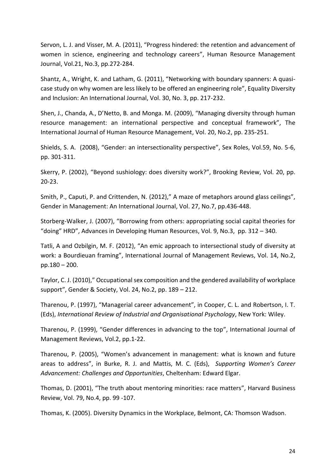Servon, L. J. and Visser, M. A. (2011), "Progress hindered: the retention and advancement of women in science, engineering and technology careers", Human Resource Management Journal, Vol.21, No.3, pp.272-284.

Shantz, A., Wright, K. and Latham, G. (2011), "Networking with boundary spanners: A quasicase study on why women are less likely to be offered an engineering role", Equality Diversity and Inclusion: An International Journal, Vol. 30, No. 3, pp. 217-232.

Shen, J., Chanda, A., D'Netto, B. and Monga. M. (2009), "Managing diversity through human resource management: an international perspective and conceptual framework", The International Journal of Human Resource Management, Vol. 20, No.2, pp. 235-251.

Shields, S. A. (2008), "Gender: an intersectionality perspective", Sex Roles, Vol.59, No. 5-6, pp. 301-311.

Skerry, P. (2002), "Beyond sushiology: does diversity work?", Brooking Review, Vol. 20, pp. 20-23.

Smith, P., Caputi, P. and Crittenden, N. (2012)," A maze of metaphors around glass ceilings", Gender in Management: An International Journal, Vol. 27, No.7, pp.436-448.

Storberg-Walker, J. (2007), "Borrowing from others: appropriating social capital theories for "doing" HRD", Advances in Developing Human Resources, Vol. 9, No.3, pp. 312 – 340.

Tatli, A and Ozbilgin, M. F. (2012), "An emic approach to intersectional study of diversity at work: a Bourdieuan framing", International Journal of Management Reviews, Vol. 14, No.2, pp.180 – 200.

Taylor, C. J. (2010)," Occupational sex composition and the gendered availability of workplace support", Gender & Society, Vol. 24, No.2, pp. 189 – 212.

Tharenou, P. (1997), "Managerial career advancement", in Cooper, C. L. and Robertson, I. T. (Eds), *International Review of Industrial and Organisational Psychology*, New York: Wiley.

Tharenou, P. (1999), "Gender differences in advancing to the top", International Journal of Management Reviews, Vol.2, pp.1-22.

Tharenou, P. (2005), "Women's advancement in management: what is known and future areas to address", in Burke, R. J. and Mattis, M. C. (Eds), *Supporting Women's Career Advancement: Challenges and Opportunities*, Cheltenham: Edward Elgar.

Thomas, D. (2001), "The truth about mentoring minorities: race matters", Harvard Business Review, Vol. 79, No.4, pp. 99 -107.

Thomas, K. (2005). Diversity Dynamics in the Workplace, Belmont, CA: Thomson Wadson.